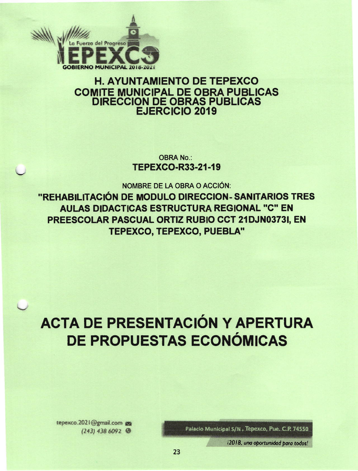

## **H. AYUNTAMIENTO DE TEPEXCO COMITE MUNICIPAL DE OBRA PUBLICAS DIRECCION DE OBRAS PUBLICAS EJERCICIO 2019**

**OBRA No.: TEPEXCO-R33-21-19** 

NOMBRE DE LA OBRA O ACCIÓN:

"REHABILITACIÓN DE MODULO DIRECCION- SANITARIOS TRES **AULAS DIDACTICAS ESTRUCTURA REGIONAL "C" EN** PREESCOLAR PASCUAL ORTIZ RUBIO CCT 21DJN0373I, EN TEPEXCO, TEPEXCO, PUEBLA"

# ACTA DE PRESENTACIÓN Y APERTURA DE PROPUESTAS ECONÓMICAS

Palacio Municipal S/N, Tepexco, Pue. C.P. 74550

i2018, una oportunidad para todos!

tepexco.2021@gmail.com  $(243)$  438 6092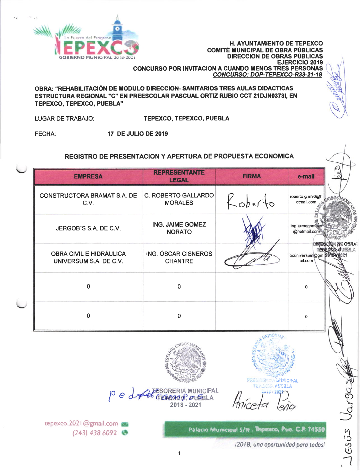

OBRA: "REHABILITACIÓN DE MODULO DIRECCION- SANITARIOS TRES AULAS DIDACTICAS **ESTRUCTURA REGIONAL "C" EN PREESCOLAR PASCUAL ORTIZ RUBIO CCT 21DJN0373I. EN** TEPEXCO, TEPEXCO, PUEBLA"

**LUGAR DE TRABAJO: TEPEXCO. TEPEXCO. PUEBLA** 

FECHA: **17 DE JULIO DE 2019** 

### REGISTRO DE PRESENTACION Y APERTURA DE PROPUESTA ECONOMICA

| <b>EMPRESA</b>                                           | <b>REPRESENTANTE</b><br><b>LEGAL</b>  | <b>FIRMA</b> | e-mail                         |                  |
|----------------------------------------------------------|---------------------------------------|--------------|--------------------------------|------------------|
| CONSTRUCTORA BRAMAT S.A. DE<br>C.V.                      | C. ROBERTO GALLARDO<br><b>MORALES</b> | Roberto      | roberto.g.m90@h<br>otmail.com  |                  |
| JERGOB'S S.A. DE C.V.                                    | ING. JAIME GOMEZ<br><b>NORATO</b>     |              | ing.jaimegomez<br>@hotmail.com |                  |
| <b>OBRA CIVIL E HIDRÁULICA</b><br>UNIVERSUM S.A. DE C.V. | ING. ÓSCAR CISNEROS<br><b>CHANTRE</b> |              | ocuniversum@gm<br>ail.com      | OBRA:<br>36532 ゟ |
| $\Omega$                                                 | $\Omega$                              |              | 0                              |                  |
| 0                                                        | $\Omega$                              |              | 0                              |                  |



P e dre GEBORERIA MUNICIPAL 2018 - 2021

**MUNICIPAL** phisri a

Palacio Municipal S/N. Tepexco, Pue. C.P. 74550

tepexco.2021@gmail.com  $(243)$  438 6092

i2018, una oportunidad para todos!

JESUS Vargaz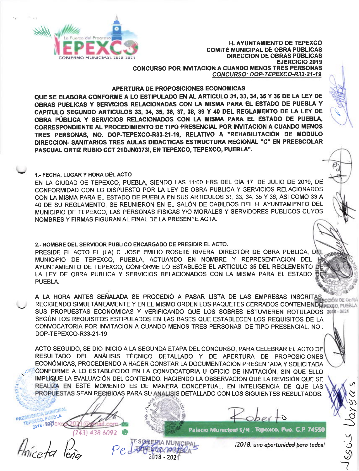

#### APERTURA DE PROPOSICIONES ECONOMICAS

QUE SE ELABORA CONFORME A LO ESTIPULADO EN AL ARTICULO 31, 33, 34, 35 Y 36 DE LA LEY DE OBRAS PUBLICAS Y SERVICIOS RELACIONADAS CON LA MISMA PARA EL ESTADO DE PUEBLA Y CAPITULO SEGUNDO ARTICULOS 33, 34, 35, 36, 37, 38, 39 Y 40 DEL REGLAMENTO DE LA LEY DE OBRA PÚBLICA Y SERVICIOS RELACIONADOS CON LA MISMA PARA EL ESTADO DE PUEBLA. CORRESPONDIENTE AL PROCEDIMIENTO DE TIPO PRESENCIAL POR INVITACION A CUANDO MENOS TRES PERSONAS, NO. DOP-TEPEXCO-R33-21-19, RELATIVO A "REHABILITACIÓN DE MODULO DIRECCION- SANITARIOS TRES AULAS DIDACTICAS ESTRUCTURA REGIONAL "C" EN PREESCOLAR PASCUAL ORTIZ RUBIO CCT 21DJN03731, EN TEPEXCO, TEPEXCO, PUEBLA".

#### 1.- FECHA, LUGAR Y HORA DEL ACTO

EN LA CIUDAD DE TEPEXCO, PUEBLA, SIENDO LAS 11:00 HRS DEL DÍA 17 DE JULIO DE 2019. DE CONFORMIDAD CON LO DISPUESTO POR LA LEY DE OBRA PUBLICA Y SERVICIOS RELACIONADOS CON LA MISMA PARA EL ESTADO DE PUEBLA EN SUS ARTICULOS 31, 33, 34, 35 Y 36, ASI COMO 33 A 40 DE SU REGLAMENTO, SE REUNIERON EN EL SALÓN DE CABILDOS DEL H. AYUNTAMIENTO DEL MUNICIPIO DE TEPEXCO. LAS PERSONAS FISICAS Y/O MORALES Y SERVIDORES PUBLICOS CUYOS NOMBRES Y FIRMAS FIGURAN AL FINAL DE LA PRESENTE ACTA.

#### 2.- NOMBRE DEL SERVIDOR PUBLICO ENCARGADO DE PRESIDIR EL ACTO.

PRESIDE EL ACTO EL (LA) C. JOSE EMILIO ROSETE RIVERA, DIRECTOR DE OBRA PUBLICA, DEL MIDORE MUNICIPIO DE TEPEXCO, PUEBLA, ACTUANDO EN NOMBRE Y REPRESENTACION DEL **1** AYUNTAMIENTO DE TEPEXCO, CONFORME LO ESTABLECE EL ARTICULO 35 DEL REGLEMENTO DI LA LEY DE OBRA PUBLICA Y SERVICIOS RELACIONADOS CON LA MISMA PARA EL ESTADO D PUEBLA.

A LA HORA ANTES SEÑALADA SE PROCEDIÓ A PASAR LISTA DE LAS EMPRESAS INSCRITAS GesRA RECIBIENDO SIMULTÁNEAMENTE Y EN EL MISMO ORDEN LOS PAQUETES CERRADOS CONTENIENDE EN PIRECURI DE VOID SUS PROPUESTAS ECONOMICAS Y VERIFICANDO QUE LOS SOBRES ESTUVIEREN ROTULADOS 2018-2021 SEGÚN LOS REQUISITOS ESTIPULADOS EN LAS BASES QUE ESTABLECEN LOS REQUISITOS DE LA CONVOCATORIA POR INVITACION A CUANDO MENOS TRES PERSONAS. DE TIPO PRESENCIAL. NO.: DOP-TEPEXCO-R33-21-19

ACTO SEGUIDO, SE DIO INICIO A LA SEGUNDA ETAPA DEL CONCURSO, PARA CELEBRAR EL ACTO DE RESULTADO DEL ANÁLISIS TÉCNICO DETALLADO Y DE APERTURA DE PROPOSICIONES ECONÓMICAS, PROCEDIENDO A HACER CONSTAR LA DOCUMENTACION PRESENTADA Y SOLICITADA CONFORME A LO ESTABLECIDO EN LA CONVOCATORIA U OFICIO DE INVITACIÓN, SIN QUE ELLO IMPLIQUE LA EVALUACIÓN DEL CONTENIDO, HACIENDO LA OBSERVACION QUE LA REVISIÓN QUE SE REALIZA EN ESTE MOMENTO ES DE MANERA CONCEPTUAL, EN INTELIGENCIA DE QUE LAS PROPUESTAS SEAN RECIBIDAS PARA SU ANALISIS DETALLADO CON LOS SIGUIENTES RESULTADOS:

SORERIA MUNICIPAL

18 - 2021

**IDENCIA MUNICIPAL** PEXCO, PUEBLA 2016 - 200 ex com **15** 3) 438 6092

Palacio Municipal S/N. Tepexco, Pue. C.P. 74550

12018, una oportunidad para todos!

 $5025$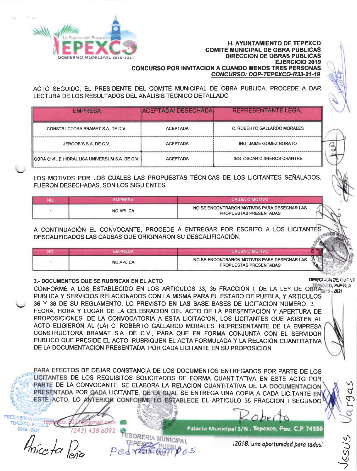

ACTO SEGUIDO, EL PRESIDENTE DEL COMITÉ MUNICIPAL DE OBRA PUBLICA, PROCEDE A DAR LECTURA DE LOS RESULTADOS DEL ANÁLISIS TÉCNICO DETALLADO

| <b>EMPRESA</b>                                 | <b>ACEPTADA/DESECHADA</b> | <b>REPRESENTANTE LEGAL</b>  |
|------------------------------------------------|---------------------------|-----------------------------|
| CONSTRUCTORA BRAMAT S.A. DE C.V.               | <b>ACEPTADA</b>           | C. ROBERTO GALLARDO MORALES |
| JERGOB'S S.A. DE C.V.                          | <b>ACEPTADA</b>           | ING. JAIME GOMEZ NORATO     |
| OBRA CIVIL E HIDRÁULICA UNIVERSUM S.A. DE C.V. | <b>ACEPTADA</b>           | ING. ÓSCAR CISNEROS CHANTRE |

LOS MOTIVOS POR LOS CUALES LAS PROPUESTAS TÉCNICAS DE LOS LICITANTES SEÑALADOS. **FUERON DESECHADAS, SON LOS SIGUIENTES:** 

| <b>NO</b> | <b>EMPRESA</b>   | <b>CAUSA O MOTIVO</b>                                                 |  |
|-----------|------------------|-----------------------------------------------------------------------|--|
|           | <b>NO APLICA</b> | NO SE ENCONTRARON MOTIVOS PARA DESECHAR LAS<br>PROPUESTAS PRESENTADAS |  |

A CONTINUACIÓN EL CONVOCANTE, PROCEDE A ENTREGAR POR ESCRITO A LOS LICITANTES DESCALIFICADOS LAS CAUSAS QUE ORIGINARON SU DESCALIFICACIÓN.

| NO | <b>FMPRFSA</b>   | CALISA O MOTIVO                                                       |                             |  |
|----|------------------|-----------------------------------------------------------------------|-----------------------------|--|
|    | <b>NO APLICA</b> | NO SE ENCONTRARON MOTIVOS PARA DESECHAR LAS<br>PROPUESTAS PRESENTADAS | $\mathcal{H}_{\mathcal{P}}$ |  |

#### 3.- DOCUMENTOS QUE SE RUBRICAN EN EL ACTO

431 438 6092

EXCO, PUESLA CONFORME A LOS ESTABLECIDO EN LOS ARTICULOS 33, 35 FRACCION I, DE LA LEY DE OBRA 18, 2021 PUBLICA Y SERVICIOS RELACIONADOS CON LA MISMA PARA EL ESTADO DE PUEBLA, Y ARTICULOS 36 Y 38 DE SU REGLAMENTO, LO PREVISTO EN LAS BASE BASES DE LICITACION NUMERO 3. FECHA, HORA Y LUGAR DE LA CELEBRACIÓN DEL ACTO DE LA PRESENTACIÓN Y APERTURA DE PROPOSICIONES. DE LA CONVOCATORIA A ESTA LICITACION, LOS LICITANTES QUE ASISTEN AL ACTO ELIGIERON AL (LA) C. ROBERTO GALLARDO MORALES, REPRESENTANTE DE LA EMPRESA CONSTRUCTORA BRAMAT S.A. DE C.V., PARA QUE EN FORMA CONJUNTA CON EL SERVIDOR PUBLICO QUE PRESIDE EL ACTO, RUBRIQUEN EL ACTA FORMULADA Y LA RELACIÓN CUANTITATIVA DE LA DOCUMENTACIÓN PRESENTADA POR CADA LICITANTE EN SU PROPOSICIÓN.

PARA EFECTOS DE DEJAR CONSTANCIA DE LOS DOCUMENTOS ENTREGADOS POR PARTE DE LOS LICITANTES DE LOS REQUISITOS SOLICITADOS DE FORMA CUANTITATIVA EN ESTE ACTO POR PARTE DE LA CONVOCANTE, SE ELABORA LA RELACION CUANTITATIVA DE LA DOCUMENTACION PRESENTADA POR GADA LICITANTE, DE LA CUAL SE ENTREGA UNA COPIA A CADA LICITANTE EN ESTE ACTO, LO ANTERIOR CONFORME LO ESTABLECE EL ARTICULO 35 FRACCION I SEGUNDO

**DIRECCION DE L'UDAS** 

 $\alpha$ 

رح

Palacio Municipal S/N, Tepexco, Pue. C.P. 74550

Hníceta

**TEPEXCO, PUTTI** 2018 - 2021

SORERIA MUNICIPAL

i2018, una oportunidad para todos!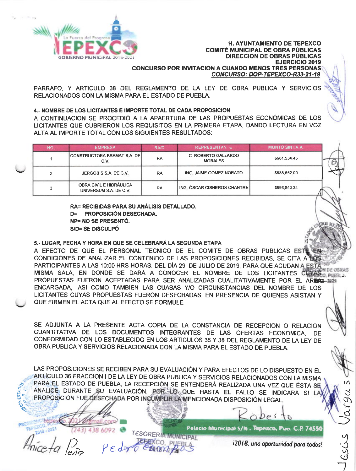

PARRAFO. Y ARTICULO 38 DEL REGLAMENTO DE LA LEY DE OBRA PUBLICA Y SERVICIOS RELACIONADOS CON LA MISMA PARA EL ESTADO DE PUEBLA.

#### 4.- NOMBRE DE LOS LICITANTES E IMPORTE TOTAL DE CADA PROPOSICION

A CONTINUACION SE PROCEDIÓ A LA APAERTURA DE LAS PROPUESTAS ECONÓMICAS DE LOS LICITANTES QUE CUBRIERON LOS REQUISITOS EN LA PRIMERA ETAPA, DANDO LECTURA EN VOZ ALTA AL IMPORTE TOTAL CON LOS SIGUIENTES RESULTADOS:

| <b>NO</b> | <b>EMPRESA</b>                                    | <b>RA/D</b> | <b>REPRESENTANTE</b>                         | <b>MONTO SIN I V.A.</b> |
|-----------|---------------------------------------------------|-------------|----------------------------------------------|-------------------------|
|           | ICONSTRUCTORA BRAMAT S.A. DEI<br>C V              | RA          | <b>C. ROBERTO GALLARDO</b><br><b>MORALES</b> | \$981 534 48            |
| ີ         | JERGOB'S S.A. DE C.V.                             | RA          | ING. JAIME GOMEZ NORATO                      | \$988,652.00            |
| з         | OBRA CIVIL E HIDRÁULICA<br>UNIVERSUM S.A. DE C.V. | <b>RA</b>   | ING. ÓSCAR CISNEROS CHANTRE                  | \$998,840.34            |

RA= RECIBIDAS PARA SU ANÁLISIS DETALLADO. D= PROPOSICIÓN DESECHADA. **NP= NO SE PRESENTÓ.** S/D= SE DISCULPÓ

#### 5.- LUGAR, FECHA Y HORA EN QUE SE CELEBRARÁ LA SEGUNDA ETAPA

A EFECTO DE QUE EL PERSONAL TECNICO DE EL COMITE DE OBRAS PUBLICAS ESTE CONDICIONES DE ANALIZAR EL CONTENIDO DE LAS PROPOSICIONES RECIBIDAS, SE CITA A 100S PARTICIPANTES A LAS 10:00 HRS HORAS, DEL DÍA 29 DE JULIO DE 2019, PARA QUE ACUDAN A ESTA MISMA SALA, EN DONDE SE DARÁ A CONOCER EL NOMBRE DE LOS LICITANTES CUYAS 0, PUEBLE **NE DE CRIQIES** PROPUESTAS FUERON ACEPTADAS PARA SER ANALIZADAS CUALITATIVAMENTE POR EL AREMA-2025 ENCARGADA, ASI COMO TAMBIEN LAS CUASAS Y/O CIRCUNSTANCIAS DEL NOMBRE DE LOS LICITANTES CUYAS PROPUESTAS FUERON DESECHADAS, EN PRESENCIA DE QUIENES ASISTAN Y QUE FIRMEN EL ACTA QUE AL EFECTO SE FORMULE.

SE ADJUNTA A LA PRESENTE ACTA COPIA DE LA CONSTANCIA DE RECEPCION O RELACION CUANTITATIVA DE LOS DOCUMENTOS INTEGRANTES DE LAS OFERTAS ECONOMICA. DE CONFORMIDAD CON LO ESTABLECIDO EN LOS ARTICULOS 36 Y 38 DEL REGLAMENTO DE LA LEY DE OBRA PUBLICA Y SERVICIOS RELACIONADA CON LA MISMA PARA EL ESTADO DE PUEBLA.

LAS PROPOSICIONES SE RECIBEN PARA SU EVALUACIÓN Y PARA EFECTOS DE LO DISPUESTO EN EL ARTÍCULO 36 FRACCION I DE LA LEY DE OBRA PUBLICA Y SERVICIOS RELACIONADOS CON LA MISMA PARA EL ESTADO DE PUEBLA, LA RECEPCIÓN SE ENTENDERÁ REALIZADA UNA VEZ QUE ÉSTA SE ANALICE DURANTE SU EVALUACIÓN, POR LOLQUE HASTA EL FALLO SE INDICARA SI L PROPOSICIÓN FUE DESECHADA POR INCUMPLIR LA MENCIONADA DISPOSICIÓN LEGAL.

**LEBRACO** PI

 $.2021$ 

Palacio Municipal S/N., Tepexco, Pue. C.P. 74550 **TESORERIA MUNICIPAL** 

i2018, una oportunidad para todos!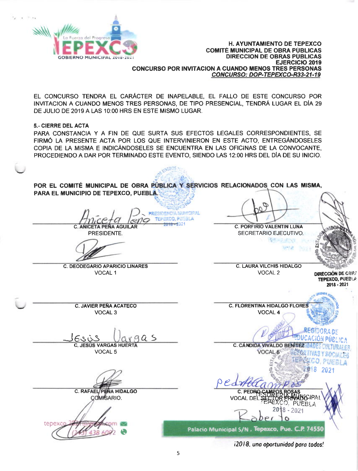

EL CONCURSO TENDRA EL CARÁCTER DE INAPELABLE, EL FALLO DE ESTE CONCURSO POR INVITACION A CUANDO MENOS TRES PERSONAS, DE TIPO PRESENCIAL, TENDRÁ LUGAR EL DÍA 29 DE JULIO DE 2019 A LAS 10:00 HRS EN ESTE MISMO LUGAR.

**5.- CIERRE DEL ACTA** 

PARA CONSTANCIA Y A FIN DE QUE SURTA SUS EFECTOS LEGALES CORRESPONDIENTES, SE FIRMÓ LA PRESENTE ACTA POR LOS QUE INTERVINIERON EN ESTE ACTO, ENTREGÁNDOSELES COPIA DE LA MISMA E INDICÁNDOSELES SE ENCUENTRA EN LAS OFICINAS DE LA CONVOCANTE. PROCEDIENDO A DAR POR TERMINADO ESTE EVENTO. SIENDO LAS 12:00 HRS DEL DÍA DE SU INICIO.

POR EL COMITÉ MUNICIPAL DE OBRA PÚBLICA Y SERVICIOS RELACIONADOS CON LAS MISMA, PARA EL MUNICIPIO DE TEPEXCO, PUEBLA.

nNDOS -

**PRESIDENCIA MUNICIPAL** TEPEXCO, PUSBL **C. ANICETA PEÑA AGUILAR** 

PRESIDENTE.

**C. DEODEGARIO APARICIO LINARES** VOCAL<sub>1</sub>

**C. JAVIER PEÑA ACATECO** 

VOCAL<sub>3</sub>

**C. PORFIRIO VALENTIN LUNA** 

SECRETARIO EJECUTIVO. MET A DISTURB

短程度

**C. LAURA VILCHIS HIDALGO** VOCAL<sub>2</sub>

**DIRECCIÓN DE OBRA** TEPEXCO, PUEBLA 2018 - 2021

**C. FLORENTINA HIDALGO FLORES** VOCAL 4

C. CÁNDIDA VIVALDO BENÍTEZ

VOCAL-6

Esù  $a$ **C. JESÚS VARGAS HUERTA** 

VOCAL<sub>5</sub>

C. RAFAEL/PENA HIDALGO COMISARIO.



CO. PUEBLA  $918$  $202^{\circ}$  $Red$ C. PEDRC WOGLPAL **VOCAL DE** O. PUEBLA 2018 - 2021 Ô

Palacio Municipal S/N , Tepexco, Pue. C.P. 74550

i2018, una oportunidad para todos!